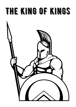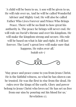'A child will be born to us. A son will be given to us. He will rule over us. And he will be called Wonderful Adviser and Mighty God. He will also be called Father Who Lives Forever and Prince Who Brings Peace. There will be no limit to how great his authority is. The peace he brings will never end. He will rule on David's throne and over his kingdom. He will make the kingdom strong and secure. His rule will be based on what is fair and right. It will last forever. The Lord 's great love will make sure that happens. He rules over all.'

Isaiah 9:6-7



'May grace and peace come to you from Jesus Christ. He is the faithful witness, so what he has shown can be trusted. He was the first to rise from the dead. He rules over the kings of the earth. Glory and power belong to Jesus Christ who loves us! He has set us free from our sins by pouring out his blood for us.' Revelation 1:5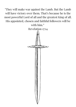"They will make war against the Lamb. But the Lamb will have victory over them. That's because he is the most powerful Lord of all and the greatest King of all. His appointed, chosen and faithful followers will be